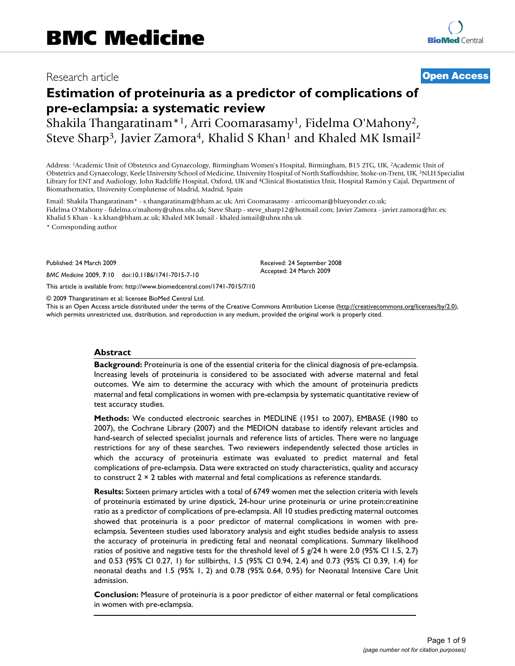## Research article **[Open Access](http://www.biomedcentral.com/info/about/charter/)**

# **Estimation of proteinuria as a predictor of complications of pre-eclampsia: a systematic review**

Shakila Thangaratinam\*1, Arri Coomarasamy1, Fidelma O'Mahony2, Steve Sharp<sup>3</sup>, Javier Zamora<sup>4</sup>, Khalid S Khan<sup>1</sup> and Khaled MK Ismail<sup>2</sup>

Address: 1Academic Unit of Obstetrics and Gynaecology, Birmingham Women's Hospital, Birmingham, B15 2TG, UK, 2Academic Unit of Obstetrics and Gynaecology, Keele University School of Medicine, University Hospital of North Staffordshire, Stoke-on-Trent, UK, 3NLH Specialist Library for ENT and Audiology, John Radcliffe Hospital, Oxford, UK and 4Clinical Biostatistics Unit, Hospital Ramón y Cajal, Department of Biomathematics, University Complutense of Madrid, Madrid, Spain

Email: Shakila Thangaratinam\* - s.thangaratinam@bham.ac.uk; Arri Coomarasamy - arricoomar@blueyonder.co.uk; Fidelma O'Mahony - fidelma.o'mahony@uhns.nhs.uk; Steve Sharp - steve\_sharp12@hotmail.com; Javier Zamora - javier.zamora@hrc.es; Khalid S Khan - k.s.khan@bham.ac.uk; Khaled MK Ismail - khaled.ismail@uhns.nhs.uk

\* Corresponding author

Published: 24 March 2009

*BMC Medicine* 2009, **7**:10 doi:10.1186/1741-7015-7-10

[This article is available from: http://www.biomedcentral.com/1741-7015/7/10](http://www.biomedcentral.com/1741-7015/7/10)

© 2009 Thangaratinam et al; licensee BioMed Central Ltd.

This is an Open Access article distributed under the terms of the Creative Commons Attribution License [\(http://creativecommons.org/licenses/by/2.0\)](http://creativecommons.org/licenses/by/2.0), which permits unrestricted use, distribution, and reproduction in any medium, provided the original work is properly cited.

Received: 24 September 2008 Accepted: 24 March 2009

#### **Abstract**

**Background:** Proteinuria is one of the essential criteria for the clinical diagnosis of pre-eclampsia. Increasing levels of proteinuria is considered to be associated with adverse maternal and fetal outcomes. We aim to determine the accuracy with which the amount of proteinuria predicts maternal and fetal complications in women with pre-eclampsia by systematic quantitative review of test accuracy studies.

**Methods:** We conducted electronic searches in MEDLINE (1951 to 2007), EMBASE (1980 to 2007), the Cochrane Library (2007) and the MEDION database to identify relevant articles and hand-search of selected specialist journals and reference lists of articles. There were no language restrictions for any of these searches. Two reviewers independently selected those articles in which the accuracy of proteinuria estimate was evaluated to predict maternal and fetal complications of pre-eclampsia. Data were extracted on study characteristics, quality and accuracy to construct 2 × 2 tables with maternal and fetal complications as reference standards.

**Results:** Sixteen primary articles with a total of 6749 women met the selection criteria with levels of proteinuria estimated by urine dipstick, 24-hour urine proteinuria or urine protein:creatinine ratio as a predictor of complications of pre-eclampsia. All 10 studies predicting maternal outcomes showed that proteinuria is a poor predictor of maternal complications in women with preeclampsia. Seventeen studies used laboratory analysis and eight studies bedside analysis to assess the accuracy of proteinuria in predicting fetal and neonatal complications. Summary likelihood ratios of positive and negative tests for the threshold level of 5  $g/24$  h were 2.0 (95% CI 1.5, 2.7) and 0.53 (95% CI 0.27, 1) for stillbirths, 1.5 (95% CI 0.94, 2.4) and 0.73 (95% CI 0.39, 1.4) for neonatal deaths and 1.5 (95% 1, 2) and 0.78 (95% 0.64, 0.95) for Neonatal Intensive Care Unit admission.

**Conclusion:** Measure of proteinuria is a poor predictor of either maternal or fetal complications in women with pre-eclampsia.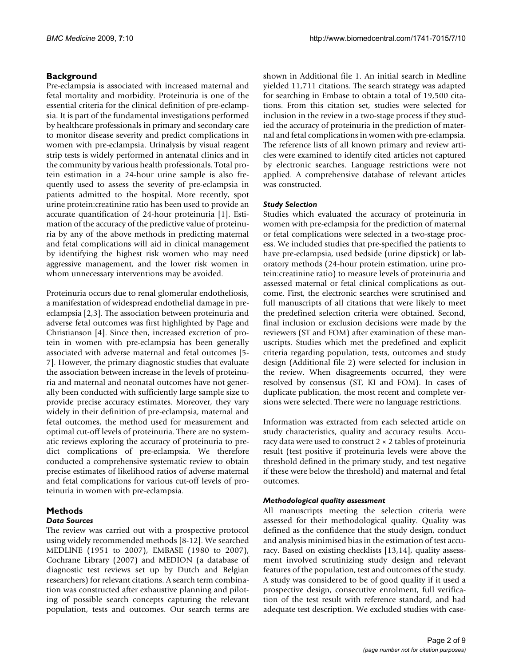#### **Background**

Pre-eclampsia is associated with increased maternal and fetal mortality and morbidity. Proteinuria is one of the essential criteria for the clinical definition of pre-eclampsia. It is part of the fundamental investigations performed by healthcare professionals in primary and secondary care to monitor disease severity and predict complications in women with pre-eclampsia. Urinalysis by visual reagent strip tests is widely performed in antenatal clinics and in the community by various health professionals. Total protein estimation in a 24-hour urine sample is also frequently used to assess the severity of pre-eclampsia in patients admitted to the hospital. More recently, spot urine protein:creatinine ratio has been used to provide an accurate quantification of 24-hour proteinuria [1]. Estimation of the accuracy of the predictive value of proteinuria by any of the above methods in predicting maternal and fetal complications will aid in clinical management by identifying the highest risk women who may need aggressive management, and the lower risk women in whom unnecessary interventions may be avoided.

Proteinuria occurs due to renal glomerular endotheliosis, a manifestation of widespread endothelial damage in preeclampsia [2,3]. The association between proteinuria and adverse fetal outcomes was first highlighted by Page and Christianson [4]. Since then, increased excretion of protein in women with pre-eclampsia has been generally associated with adverse maternal and fetal outcomes [5- 7]. However, the primary diagnostic studies that evaluate the association between increase in the levels of proteinuria and maternal and neonatal outcomes have not generally been conducted with sufficiently large sample size to provide precise accuracy estimates. Moreover, they vary widely in their definition of pre-eclampsia, maternal and fetal outcomes, the method used for measurement and optimal cut-off levels of proteinuria. There are no systematic reviews exploring the accuracy of proteinuria to predict complications of pre-eclampsia. We therefore conducted a comprehensive systematic review to obtain precise estimates of likelihood ratios of adverse maternal and fetal complications for various cut-off levels of proteinuria in women with pre-eclampsia.

#### **Methods** *Data Sources*

The review was carried out with a prospective protocol using widely recommended methods [8-12]. We searched MEDLINE (1951 to 2007), EMBASE (1980 to 2007), Cochrane Library (2007) and MEDION (a database of diagnostic test reviews set up by Dutch and Belgian researchers) for relevant citations. A search term combination was constructed after exhaustive planning and piloting of possible search concepts capturing the relevant population, tests and outcomes. Our search terms are shown in Additional file 1. An initial search in Medline yielded 11,711 citations. The search strategy was adapted for searching in Embase to obtain a total of 19,500 citations. From this citation set, studies were selected for inclusion in the review in a two-stage process if they studied the accuracy of proteinuria in the prediction of maternal and fetal complications in women with pre-eclampsia. The reference lists of all known primary and review articles were examined to identify cited articles not captured by electronic searches. Language restrictions were not applied. A comprehensive database of relevant articles was constructed.

#### *Study Selection*

Studies which evaluated the accuracy of proteinuria in women with pre-eclampsia for the prediction of maternal or fetal complications were selected in a two-stage process. We included studies that pre-specified the patients to have pre-eclampsia, used bedside (urine dipstick) or laboratory methods (24-hour protein estimation, urine protein:creatinine ratio) to measure levels of proteinuria and assessed maternal or fetal clinical complications as outcome. First, the electronic searches were scrutinised and full manuscripts of all citations that were likely to meet the predefined selection criteria were obtained. Second, final inclusion or exclusion decisions were made by the reviewers (ST and FOM) after examination of these manuscripts. Studies which met the predefined and explicit criteria regarding population, tests, outcomes and study design (Additional file 2) were selected for inclusion in the review. When disagreements occurred, they were resolved by consensus (ST, KI and FOM). In cases of duplicate publication, the most recent and complete versions were selected. There were no language restrictions.

Information was extracted from each selected article on study characteristics, quality and accuracy results. Accuracy data were used to construct 2 × 2 tables of proteinuria result (test positive if proteinuria levels were above the threshold defined in the primary study, and test negative if these were below the threshold) and maternal and fetal outcomes.

#### *Methodological quality assessment*

All manuscripts meeting the selection criteria were assessed for their methodological quality. Quality was defined as the confidence that the study design, conduct and analysis minimised bias in the estimation of test accuracy. Based on existing checklists [13,14], quality assessment involved scrutinizing study design and relevant features of the population, test and outcomes of the study. A study was considered to be of good quality if it used a prospective design, consecutive enrolment, full verification of the test result with reference standard, and had adequate test description. We excluded studies with case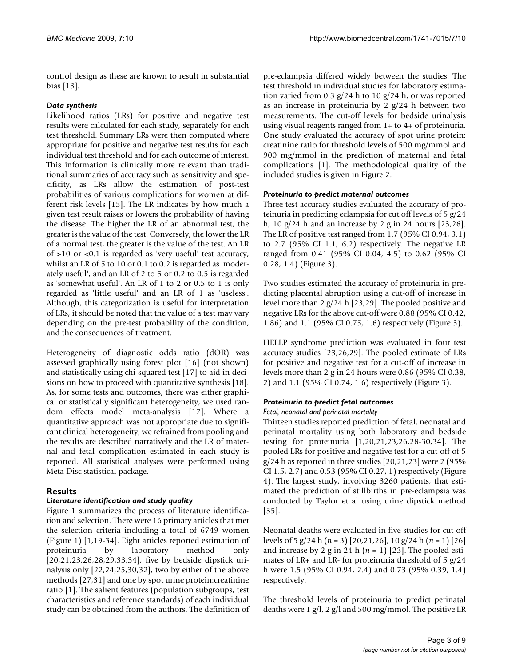control design as these are known to result in substantial bias [13].

#### *Data synthesis*

Likelihood ratios (LRs) for positive and negative test results were calculated for each study, separately for each test threshold. Summary LRs were then computed where appropriate for positive and negative test results for each individual test threshold and for each outcome of interest. This information is clinically more relevant than traditional summaries of accuracy such as sensitivity and specificity, as LRs allow the estimation of post-test probabilities of various complications for women at different risk levels [15]. The LR indicates by how much a given test result raises or lowers the probability of having the disease. The higher the LR of an abnormal test, the greater is the value of the test. Conversely, the lower the LR of a normal test, the greater is the value of the test. An LR of >10 or <0.1 is regarded as 'very useful' test accuracy, whilst an LR of 5 to 10 or 0.1 to 0.2 is regarded as 'moderately useful', and an LR of 2 to 5 or 0.2 to 0.5 is regarded as 'somewhat useful'. An LR of 1 to 2 or 0.5 to 1 is only regarded as 'little useful' and an LR of 1 as 'useless'. Although, this categorization is useful for interpretation of LRs, it should be noted that the value of a test may vary depending on the pre-test probability of the condition, and the consequences of treatment.

Heterogeneity of diagnostic odds ratio (dOR) was assessed graphically using forest plot [16] (not shown) and statistically using chi-squared test [17] to aid in decisions on how to proceed with quantitative synthesis [18]. As, for some tests and outcomes, there was either graphical or statistically significant heterogeneity, we used random effects model meta-analysis [17]. Where a quantitative approach was not appropriate due to significant clinical heterogeneity, we refrained from pooling and the results are described narratively and the LR of maternal and fetal complication estimated in each study is reported. All statistical analyses were performed using Meta Disc statistical package.

### **Results**

### *Literature identification and study quality*

Figure 1 summarizes the process of literature identification and selection. There were 16 primary articles that met the selection criteria including a total of 6749 women (Figure 1) [1,19-34]. Eight articles reported estimation of proteinuria by laboratory method only [20,21,23,26,28,29,33,34], five by bedside dipstick urinalysis only [22,24,25,30,32], two by either of the above methods [27,31] and one by spot urine protein:creatinine ratio [1]. The salient features (population subgroups, test characteristics and reference standards) of each individual study can be obtained from the authors. The definition of pre-eclampsia differed widely between the studies. The test threshold in individual studies for laboratory estimation varied from 0.3 g/24 h to 10 g/24 h, or was reported as an increase in proteinuria by 2  $g/24$  h between two measurements. The cut-off levels for bedside urinalysis using visual reagents ranged from 1+ to 4+ of proteinuria. One study evaluated the accuracy of spot urine protein: creatinine ratio for threshold levels of 500 mg/mmol and 900 mg/mmol in the prediction of maternal and fetal complications [1]. The methodological quality of the included studies is given in Figure 2.

#### *Proteinuria to predict maternal outcomes*

Three test accuracy studies evaluated the accuracy of proteinuria in predicting eclampsia for cut off levels of 5 g/24 h, 10  $g/24$  h and an increase by 2 g in 24 hours [23,26]. The LR of positive test ranged from 1.7 (95% CI 0.94, 3.1) to 2.7 (95% CI 1.1, 6.2) respectively. The negative LR ranged from 0.41 (95% CI 0.04, 4.5) to 0.62 (95% CI 0.28, 1.4) (Figure 3).

Two studies estimated the accuracy of proteinuria in predicting placental abruption using a cut-off of increase in level more than 2 g/24 h [23,29]. The pooled positive and negative LRs for the above cut-off were 0.88 (95% CI 0.42, 1.86) and 1.1 (95% CI 0.75, 1.6) respectively (Figure 3).

HELLP syndrome prediction was evaluated in four test accuracy studies [23,26,29]. The pooled estimate of LRs for positive and negative test for a cut-off of increase in levels more than 2 g in 24 hours were 0.86 (95% CI 0.38, 2) and 1.1 (95% CI 0.74, 1.6) respectively (Figure 3).

#### *Proteinuria to predict fetal outcomes*

#### *Fetal, neonatal and perinatal mortality*

Thirteen studies reported prediction of fetal, neonatal and perinatal mortality using both laboratory and bedside testing for proteinuria [1,20,21,23,26,28-30,34]. The pooled LRs for positive and negative test for a cut-off of 5  $g/24$  h as reported in three studies [20,21,23] were 2 (95% CI 1.5, 2.7) and 0.53 (95% CI 0.27, 1) respectively (Figure 4). The largest study, involving 3260 patients, that estimated the prediction of stillbirths in pre-eclampsia was conducted by Taylor et al using urine dipstick method [35].

Neonatal deaths were evaluated in five studies for cut-off levels of 5 g/24 h (*n* = 3) [20,21,26], 10 g/24 h (*n* = 1) [26] and increase by 2 g in 24 h  $(n = 1)$  [23]. The pooled estimates of LR+ and LR- for proteinuria threshold of 5 g/24 h were 1.5 (95% CI 0.94, 2.4) and 0.73 (95% 0.39, 1.4) respectively.

The threshold levels of proteinuria to predict perinatal deaths were 1 g/l, 2 g/l and 500 mg/mmol. The positive LR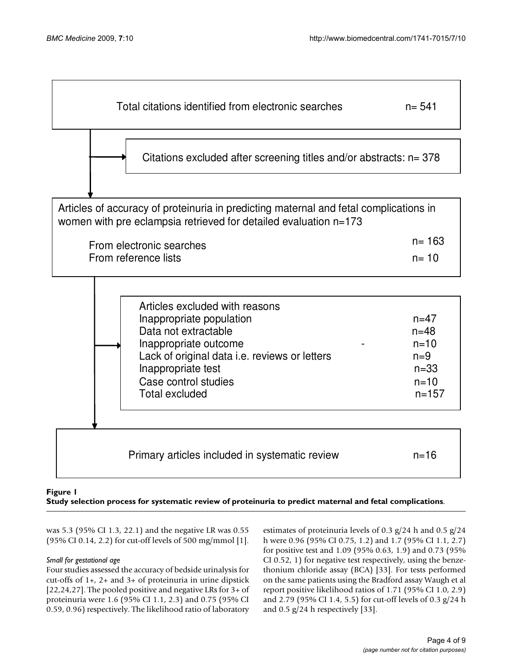

#### **Figure 1** Study selection process for systematic review of proteinuria to predict maternal and fetal complications

**Study selection process for systematic review of proteinuria to predict maternal and fetal complications**.

was 5.3 (95% CI 1.3, 22.1) and the negative LR was 0.55 (95% CI 0.14, 2.2) for cut-off levels of 500 mg/mmol [1].

#### *Small for gestational age*

Four studies assessed the accuracy of bedside urinalysis for cut-offs of 1+, 2+ and 3+ of proteinuria in urine dipstick [22,24,27]. The pooled positive and negative LRs for 3+ of proteinuria were 1.6 (95% CI 1.1, 2.3) and 0.75 (95% CI 0.59, 0.96) respectively. The likelihood ratio of laboratory estimates of proteinuria levels of 0.3 g/24 h and 0.5 g/24 h were 0.96 (95% CI 0.75, 1.2) and 1.7 (95% CI 1.1, 2.7) for positive test and 1.09 (95% 0.63, 1.9) and 0.73 (95% CI 0.52, 1) for negative test respectively, using the benzethonium chloride assay (BCA) [33]. For tests performed on the same patients using the Bradford assay Waugh et al report positive likelihood ratios of 1.71 (95% CI 1.0, 2.9) and 2.79 (95% CI 1.4, 5.5) for cut-off levels of 0.3 g/24 h and  $0.5$  g/24 h respectively [33].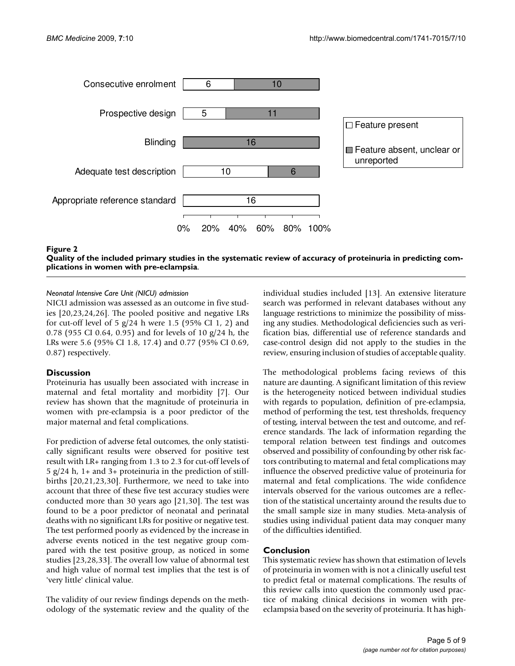

Quality of the included primary studies in the systematic revi women with pre-eclampsia **Figure 2** ew of accuracy of proteinuria in predicting complications in **Quality of the included primary studies in the systematic review of accuracy of proteinuria in predicting complications in women with pre-eclampsia**.

#### *Neonatal Intensive Care Unit (NICU) admission*

NICU admission was assessed as an outcome in five studies [20,23,24,26]. The pooled positive and negative LRs for cut-off level of 5  $g/24$  h were 1.5 (95% CI 1, 2) and 0.78 (955 CI 0.64, 0.95) and for levels of 10 g/24 h, the LRs were 5.6 (95% CI 1.8, 17.4) and 0.77 (95% CI 0.69, 0.87) respectively.

#### **Discussion**

Proteinuria has usually been associated with increase in maternal and fetal mortality and morbidity [7]. Our review has shown that the magnitude of proteinuria in women with pre-eclampsia is a poor predictor of the major maternal and fetal complications.

For prediction of adverse fetal outcomes, the only statistically significant results were observed for positive test result with LR+ ranging from 1.3 to 2.3 for cut-off levels of 5 g/24 h, 1+ and 3+ proteinuria in the prediction of stillbirths [20,21,23,30]. Furthermore, we need to take into account that three of these five test accuracy studies were conducted more than 30 years ago [21,30]. The test was found to be a poor predictor of neonatal and perinatal deaths with no significant LRs for positive or negative test. The test performed poorly as evidenced by the increase in adverse events noticed in the test negative group compared with the test positive group, as noticed in some studies [23,28,33]. The overall low value of abnormal test and high value of normal test implies that the test is of 'very little' clinical value.

The validity of our review findings depends on the methodology of the systematic review and the quality of the individual studies included [13]. An extensive literature search was performed in relevant databases without any language restrictions to minimize the possibility of missing any studies. Methodological deficiencies such as verification bias, differential use of reference standards and case-control design did not apply to the studies in the review, ensuring inclusion of studies of acceptable quality.

The methodological problems facing reviews of this nature are daunting. A significant limitation of this review is the heterogeneity noticed between individual studies with regards to population, definition of pre-eclampsia, method of performing the test, test thresholds, frequency of testing, interval between the test and outcome, and reference standards. The lack of information regarding the temporal relation between test findings and outcomes observed and possibility of confounding by other risk factors contributing to maternal and fetal complications may influence the observed predictive value of proteinuria for maternal and fetal complications. The wide confidence intervals observed for the various outcomes are a reflection of the statistical uncertainty around the results due to the small sample size in many studies. Meta-analysis of studies using individual patient data may conquer many of the difficulties identified.

#### **Conclusion**

This systematic review has shown that estimation of levels of proteinuria in women with is not a clinically useful test to predict fetal or maternal complications. The results of this review calls into question the commonly used practice of making clinical decisions in women with preeclampsia based on the severity of proteinuria. It has high-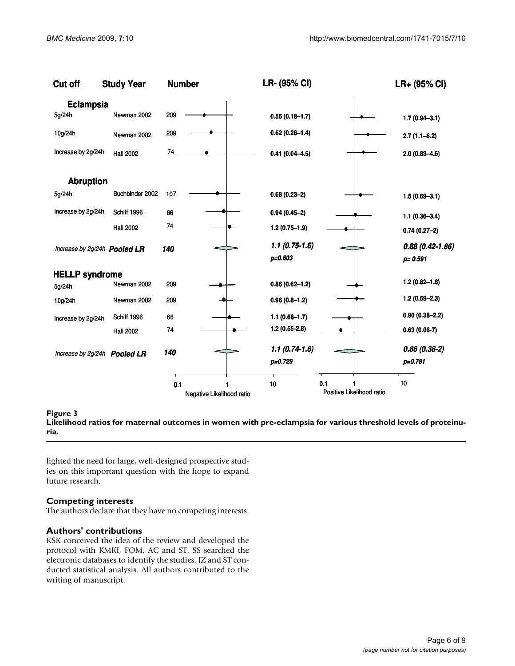| Cut off                             | <b>Study Year</b> | <b>Number</b> |                           | LR- (95% CI)                   |                           | LR+ (95% CI)                       |
|-------------------------------------|-------------------|---------------|---------------------------|--------------------------------|---------------------------|------------------------------------|
| <b>Eclampsia</b>                    |                   |               |                           |                                |                           |                                    |
| 5g/24h                              | Newman 2002       | 209           |                           | $0.55(0.18 - 1.7)$             |                           | $1.7(0.94 - 3.1)$                  |
| 10g/24h                             | Newman 2002       | 209           |                           | $0.62(0.28 - 1.4)$             |                           | $2.7(1.1 - 6.2)$                   |
| Increase by 2g/24h                  | <b>Hall 2002</b>  | 74            |                           | $0.41(0.04 - 4.5)$             |                           | $2.0(0.83 - 4.6)$                  |
| <b>Abruption</b>                    |                   |               |                           |                                |                           |                                    |
| 5g/24h                              | Buchbinder 2002   | 107           |                           | $0.68(0.23-2)$                 |                           | $1.5(0.69 - 3.1)$                  |
| Increase by 2g/24h                  | Schiff 1996       | 66            |                           | $0.94(0.45-2)$                 |                           | $1.1(0.36 - 3.4)$                  |
|                                     | <b>Hall 2002</b>  | 74            |                           | $1.2(0.75 - 1.9)$              |                           | $0.74(0.27-2)$                     |
| Increase by 2g/24h <b>Pooled LR</b> |                   | 140           |                           | $1.1(0.75-1.6)$<br>$p = 0.603$ |                           | $0.88(0.42 - 1.86)$<br>$p = 0.591$ |
| <b>HELLP syndrome</b>               |                   |               |                           |                                |                           |                                    |
| 5g/24h                              | Newman 2002       | 209           |                           | $0.86(0.62 - 1.2)$             |                           | $1.2(0.82 - 1.8)$                  |
| 10g/24h                             | Newman 2002       | 209           |                           | $0.96(0.8-1.2)$                |                           | $1.2(0.59 - 2.3)$                  |
| Increase by 2g/24h                  | Schiff 1996       | 66            |                           | $1.1(0.68 - 1.7)$              |                           | $0.90(0.38 - 2.2)$                 |
|                                     | <b>Hall 2002</b>  | 74            |                           | $1.2(0.55-2.8)$                |                           | $0.63(0.06-7)$                     |
| Increase by 2g/24h Pooled LR        |                   | 140           |                           | $1.1(0.74-1.6)$<br>$p=0.729$   |                           | $0.86(0.38-2)$<br>$p = 0.781$      |
|                                     |                   | ᅮ<br>0.1      |                           | 10                             | 0.1<br>1                  | 10                                 |
|                                     |                   |               | Negative Likelihood ratio |                                | Positive Likelihood ratio |                                    |

Likelihood ratios for maternal **Figure 3** outcomes in women with pre-eclampsia for various threshold levels of proteinuria **Likelihood ratios for maternal outcomes in women with pre-eclampsia for various threshold levels of proteinuria**.

lighted the need for large, well-designed prospective studies on this important question with the hope to expand future research.

#### **Competing interests**

The authors declare that they have no competing interests.

#### **Authors' contributions**

KSK conceived the idea of the review and developed the protocol with KMKI, FOM, AC and ST. SS searched the electronic databases to identify the studies. JZ and ST conducted statistical analysis. All authors contributed to the writing of manuscript.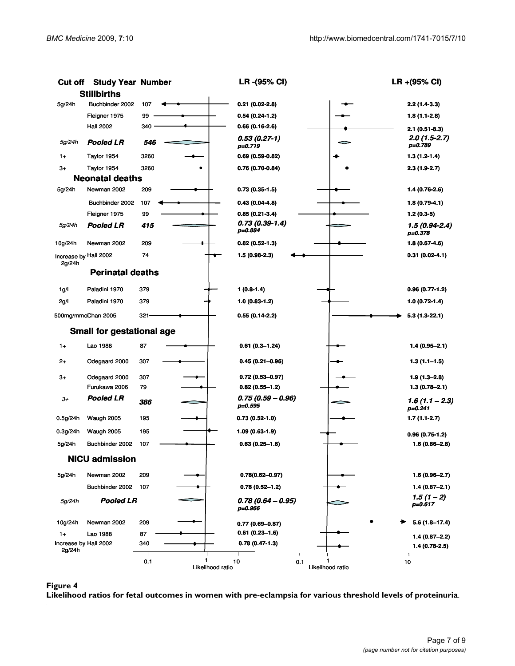| <b>Cut off</b>                  | <b>Study Year Number</b>         |                              | LR -(95% CI)                   | LR +(95% CI)                    |
|---------------------------------|----------------------------------|------------------------------|--------------------------------|---------------------------------|
|                                 | <b>Stillbirths</b>               |                              |                                |                                 |
| 5g/24h                          | Buchbinder 2002                  | 107                          | $0.21(0.02-2.8)$               | $2.2(1.4-3.3)$                  |
|                                 | Fleigner 1975                    | 99                           | $0.54(0.24-1.2)$               | 1.8 (1.1-2.8)                   |
|                                 | <b>Hall 2002</b>                 | 340                          | $0.66(0.16-2.6)$               | $2.1(0.51-8.3)$                 |
| 5g/24h                          | <b>Pooled LR</b>                 | 546                          | $0.53(0.27-1)$<br>$p = 0.719$  | $2.0(1.5-2.7)$<br>p=0.789       |
| $1+$                            | Taylor 1954                      | 3260                         | $0.69(0.59-0.82)$              | $1.3(1.2-1.4)$                  |
| 3+                              | Taylor 1954                      | 3260                         | 0.76 (0.70-0.84)               | $2.3(1.9-2.7)$                  |
|                                 | <b>Neonatal deaths</b>           |                              |                                |                                 |
| 5g/24h                          | Newman 2002                      | 209                          | $0.73(0.35-1.5)$               | 1.4 (0.76-2.6)                  |
|                                 | Buchbinder 2002                  | 107                          | $0.43(0.04-4.8)$               | 1.8 (0.79-4.1)                  |
|                                 | Fleigner 1975                    | 99                           | $0.85(0.21-3.4)$               | $1.2(0.3-5)$                    |
| 5g/24h                          | Pooled LR                        | 415                          | $0.73(0.39-1.4)$<br>p=0.884    | $1.5(0.94-2.4)$<br>p=0.378      |
| 10g/24h                         | Newman 2002                      | 209                          | $0.82(0.52-1.3)$               | 1.8 (0.67-4.6)                  |
| Increase by Hall 2002<br>2g/24h |                                  | 74                           | 1.5 (0.98-2.3)                 | $0.31(0.02-4.1)$                |
|                                 | <b>Perinatal deaths</b>          |                              |                                |                                 |
| 1g/l                            | Paladini 1970                    | 379                          | $1(0.8-1.4)$                   | $0.96(0.77-1.2)$                |
| 2g/l                            | Paladini 1970                    | 379                          | $1.0(0.83-1.2)$                | 1.0 (0.72-1.4)                  |
|                                 | 500mg/mmoChan 2005               | $321 -$                      | $0.55(0.14-2.2)$               | $5.3(1.3-22.1)$                 |
|                                 | <b>Small for gestational age</b> |                              |                                |                                 |
| $1+$                            | Lao 1988                         | 87                           | $0.61(0.3 - 1.24)$             | $1.4(0.95 - 2.1)$               |
| $^{2+}$                         | Odegaard 2000                    | 307                          | $0.45(0.21 - 0.96)$            | $1.3(1.1 - 1.5)$                |
| 3+                              | Odegaard 2000                    | 307                          | $0.72(0.53 - 0.97)$            | $1.9(1.3 - 2.8)$                |
|                                 | Furukawa 2006                    | 79                           | $0.82(0.55 - 1.2)$             | $1.3(0.78 - 2.1)$               |
| $3+$                            | Pooled LR                        | 386                          | $0.75(0.59 - 0.96)$<br>p=0.595 | $1.6(1.1 - 2.3)$<br>$p = 0.241$ |
| 0.5g/24h                        | Waugh 2005                       | 195                          | $0.73(0.52-1.0)$               | 1.7 (1.1-2.7)                   |
| 0.3g/24h                        | Waugh 2005                       | 195                          | 1.09 (0.63-1.9)                | $0.96(0.75-1.2)$                |
| 5g/24h                          | Buchbinder 2002                  | 107                          | $0.63(0.25 - 1.6)$             | 1.6 (0.86-2.8)                  |
|                                 | <b>NICU admission</b>            |                              |                                |                                 |
| 5g/24h                          | Newman 2002                      | 209                          | $0.78(0.62 - 0.97)$            | 1.6 (0.96–2.7)                  |
|                                 | Buchbinder 2002                  | 107                          | $0.78(0.52 - 1.2)$             | $1.4(0.87 - 2.1)$               |
| 5g/24h                          | <b>Pooled LR</b>                 |                              | $0.78(0.64 - 0.95)$<br>p=0.966 | $1.5(1 - 2)$<br>p=0.617         |
| 10g/24h                         | Newman 2002                      | 209                          | $0.77(0.69 - 0.87)$            | 5.6 (1.8–17.4)                  |
| $1+$                            | Lao 1988                         | 87                           | $0.61(0.23 - 1.6)$             | $1.4(0.87 - 2.2)$               |
| Increase by Hall 2002<br>2g/24h |                                  | 340                          | $0.78(0.47-1.3)$               | 1.4 (0.78-2.5)                  |
|                                 |                                  | 1<br>0.1<br>Likelihood ratio | 10<br>0.1<br>Likelihood ratio  | 10                              |

**Figure 4** Likelihood ratios for fetal outcomes in with pre-eclampsia for various threshold levels of proteinurial levels of proteinurial levels of proteinurial levels of proteinurial levels of proteinurial levels of prote

**Likelihood ratios for fetal outcomes in women with pre-eclampsia for various threshold levels of proteinuria**.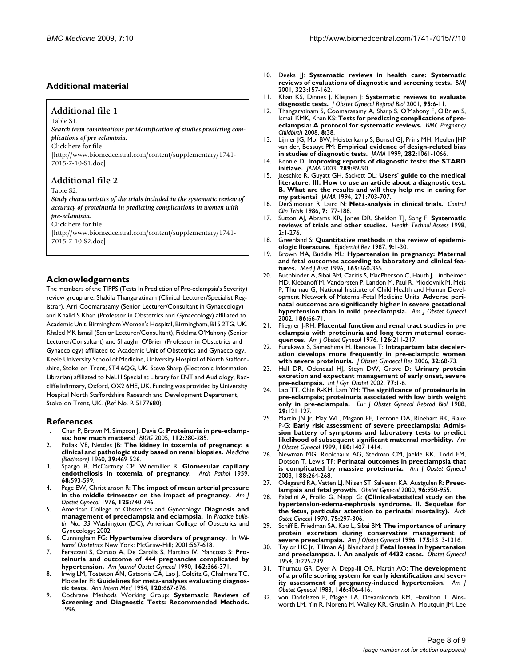#### **Additional material**

#### **Additional file 1**

Table S1.

*Search term combinations for identification of studies predicting complications of pre eclampsia.* Click here for file [\[http://www.biomedcentral.com/content/supplementary/1741-](http://www.biomedcentral.com/content/supplementary/1741-7015-7-10-S1.doc) 7015-7-10-S1.doc]

#### **Additional file 2**

Table S2.

*Study characteristics of the trials included in the systematic review of accuracy of proteinuria in predicting complications in women with pre-eclampsia.* Click here for file

[\[http://www.biomedcentral.com/content/supplementary/1741-](http://www.biomedcentral.com/content/supplementary/1741-7015-7-10-S2.doc) 7015-7-10-S2.doc]

#### **Acknowledgements**

The members of the TIPPS (Tests In Prediction of Pre-eclampsia's Severity) review group are: Shakila Thangaratinam (Clinical Lecturer/Specialist Registrar), Arri Coomarasamy (Senior Lecturer/Consultant in Gynaecology) and Khalid S Khan (Professor in Obstetrics and Gynaecology) affiliated to Academic Unit, Birmingham Women's Hospital, Birmingham, B15 2TG, UK. Khaled MK Ismail (Senior Lecturer/Consultant), Fidelma O'Mahony (Senior Lecturer/Consultant) and Shaughn O'Brien (Professor in Obstetrics and Gynaecology) affiliated to Academic Unit of Obstetrics and Gynaecology, Keele University School of Medicine, University Hospital of North Staffordshire, Stoke-on-Trent, ST4 6QG, UK. Steve Sharp (Electronic Information Librarian) affiliated to NeLH Specialist Library for ENT and Audiology, Radcliffe Infirmary, Oxford, OX2 6HE, UK. Funding was provided by University Hospital North Staffordshire Research and Development Department, Stoke-on-Trent, UK. (Ref No. R 5177680).

#### **References**

- 1. Chan P, Brown M, Simpson J, Davis G: **[Proteinuria in pre-eclamp](http://www.ncbi.nlm.nih.gov/entrez/query.fcgi?cmd=Retrieve&db=PubMed&dopt=Abstract&list_uids=15713140)[sia: how much matters?](http://www.ncbi.nlm.nih.gov/entrez/query.fcgi?cmd=Retrieve&db=PubMed&dopt=Abstract&list_uids=15713140)** *BJOG* 2005, **112:**280-285.
- 2. Pollak VE, Nettles JB: **[The kidney in toxemia of pregnancy: a](http://www.ncbi.nlm.nih.gov/entrez/query.fcgi?cmd=Retrieve&db=PubMed&dopt=Abstract&list_uids=13736843) [clinical and pathologic study based on renal biopsies.](http://www.ncbi.nlm.nih.gov/entrez/query.fcgi?cmd=Retrieve&db=PubMed&dopt=Abstract&list_uids=13736843)** *Medicine (Baltimore)* 1960, **39:**469-526.
- 3. Spargo B, McCartney CP, Winemiller R: **[Glomerular capillary](http://www.ncbi.nlm.nih.gov/entrez/query.fcgi?cmd=Retrieve&db=PubMed&dopt=Abstract&list_uids=13833162) [endotheliosis in toxemia of pregnancy.](http://www.ncbi.nlm.nih.gov/entrez/query.fcgi?cmd=Retrieve&db=PubMed&dopt=Abstract&list_uids=13833162)** *Arch Pathol* 1959, **68:**593-599.
- 4. Page EW, Christianson R: **[The impact of mean arterial pressure](http://www.ncbi.nlm.nih.gov/entrez/query.fcgi?cmd=Retrieve&db=PubMed&dopt=Abstract&list_uids=937399) [in the middle trimester on the impact of pregnancy.](http://www.ncbi.nlm.nih.gov/entrez/query.fcgi?cmd=Retrieve&db=PubMed&dopt=Abstract&list_uids=937399)** *Am J Obstet Gynecol* 1976, **125:**740-746.
- 5. American College of Obstetrics and Gynecology: **Diagnosis and management of preeclampsia and eclampsia.** In *Practice bulletin No.: 33* Washington (DC), American College of Obstetrics and Gynecology; 2002.
- 6. Cunningham FG: **Hypertensive disorders of pregnancy.** In *Williams' Obstetrics* New York: McGraw-Hill; 2001:567-618.
- 7. Ferazzani S, Caruso A, De Carolis S, Martino IV, Mancoso S: **Proteinuria and outcome of 444 pregnancies complicated by hypertension.** *Am Journal Obstet Gynecol* 1990, **162:**366-371.
- 8. Irwig LM, Tosteton AN, Gatsonis CA, Lao J, Colditz G, Chalmers TC, Mosteller Fl: **[Guidelines for meta-analyses evaluating diagnos](http://www.ncbi.nlm.nih.gov/entrez/query.fcgi?cmd=Retrieve&db=PubMed&dopt=Abstract&list_uids=8135452)[tic tests.](http://www.ncbi.nlm.nih.gov/entrez/query.fcgi?cmd=Retrieve&db=PubMed&dopt=Abstract&list_uids=8135452)** *Ann Intern Med* 1994, **120:**667-676.
- 9. Cochrane Methods Working Group: **Systematic Reviews of Screening and Diagnostic Tests: Recommended Methods.** 1996.
- 10. Deeks JJ: **[Systematic reviews in health care: Systematic](http://www.ncbi.nlm.nih.gov/entrez/query.fcgi?cmd=Retrieve&db=PubMed&dopt=Abstract&list_uids=11463691) [reviews of evaluations of diagnostic and screening tests.](http://www.ncbi.nlm.nih.gov/entrez/query.fcgi?cmd=Retrieve&db=PubMed&dopt=Abstract&list_uids=11463691)** *BMJ* 2001, **323:**157-162.
- 11. Khan KS, Dinnes J, Kleijnen J: **Systematic reviews to evaluate diagnostic tests.** *J Obstet Gynecol Reprod Biol* 2001, **95:**6-11.
- 12. Thangaratinam S, Coomarasamy A, Sharp S, O'Mahony F, O'Brien S, Ismail KMK, Khan KS: **[Tests for predicting complications of pre](http://www.ncbi.nlm.nih.gov/entrez/query.fcgi?cmd=Retrieve&db=PubMed&dopt=Abstract&list_uids=18694494)[eclampsia: A protocol for systematic reviews.](http://www.ncbi.nlm.nih.gov/entrez/query.fcgi?cmd=Retrieve&db=PubMed&dopt=Abstract&list_uids=18694494)** *BMC Pregnancy Childbirth* 2008, **8:**38.
- 13. Lijmer JG, Mol BW, Heisterkamp S, Bonsel GJ, Prins MH, Meulen JHP van der, Bossuyt PM: **[Empirical evidence of design-related bias](http://www.ncbi.nlm.nih.gov/entrez/query.fcgi?cmd=Retrieve&db=PubMed&dopt=Abstract&list_uids=10493205) [in studies of diagnostic tests.](http://www.ncbi.nlm.nih.gov/entrez/query.fcgi?cmd=Retrieve&db=PubMed&dopt=Abstract&list_uids=10493205)** *JAMA* 1999, **282:**1061-1066.
- 14. Rennie D: **[Improving reports of diagnostic tests: the STARD](http://www.ncbi.nlm.nih.gov/entrez/query.fcgi?cmd=Retrieve&db=PubMed&dopt=Abstract&list_uids=12503983) [initiave.](http://www.ncbi.nlm.nih.gov/entrez/query.fcgi?cmd=Retrieve&db=PubMed&dopt=Abstract&list_uids=12503983)** *JAMA* 2003, **289:**89-90.
- 15. Jaeschke R, Guyatt GH, Sackett DL: **[Users' guide to the medical](http://www.ncbi.nlm.nih.gov/entrez/query.fcgi?cmd=Retrieve&db=PubMed&dopt=Abstract&list_uids=8309035) [literature. III. How to use an article about a diagnostic test.](http://www.ncbi.nlm.nih.gov/entrez/query.fcgi?cmd=Retrieve&db=PubMed&dopt=Abstract&list_uids=8309035) B. What are the results and will they help me in caring for [my patients?](http://www.ncbi.nlm.nih.gov/entrez/query.fcgi?cmd=Retrieve&db=PubMed&dopt=Abstract&list_uids=8309035)** *JAMA* 1994, **271:**703-707.
- 16. DerSimonian R, Laird N: **[Meta-analysis in clinical trials.](http://www.ncbi.nlm.nih.gov/entrez/query.fcgi?cmd=Retrieve&db=PubMed&dopt=Abstract&list_uids=3802833)** *Control Clin Trials* 1986, **7:**177-188.
- 17. Sutton AJ, Abrams KR, Jones DR, Sheldon TJ, Song F: **[Systematic](http://www.ncbi.nlm.nih.gov/entrez/query.fcgi?cmd=Retrieve&db=PubMed&dopt=Abstract&list_uids=10347832) [reviews of trials and other studies.](http://www.ncbi.nlm.nih.gov/entrez/query.fcgi?cmd=Retrieve&db=PubMed&dopt=Abstract&list_uids=10347832)** *Health Technol Assess* 1998, **2:**1-276.
- 18. Greenland S: **[Quantitative methods in the review of epidemi](http://www.ncbi.nlm.nih.gov/entrez/query.fcgi?cmd=Retrieve&db=PubMed&dopt=Abstract&list_uids=3678409)[ologic literature.](http://www.ncbi.nlm.nih.gov/entrez/query.fcgi?cmd=Retrieve&db=PubMed&dopt=Abstract&list_uids=3678409)** *Epidemiol Rev* 1987, **9:**1-30.
- 19. Brown MA, Buddle ML: **[Hypertension in pregnancy: Maternal](http://www.ncbi.nlm.nih.gov/entrez/query.fcgi?cmd=Retrieve&db=PubMed&dopt=Abstract&list_uids=8890841) [and fetal outcomes according to laboratory and clinical fea](http://www.ncbi.nlm.nih.gov/entrez/query.fcgi?cmd=Retrieve&db=PubMed&dopt=Abstract&list_uids=8890841)[tures.](http://www.ncbi.nlm.nih.gov/entrez/query.fcgi?cmd=Retrieve&db=PubMed&dopt=Abstract&list_uids=8890841)** *Med J Aust* 1996, **165:**360-365.
- 20. Buchbinder A, Sibai BM, Caritis S, MacPherson C, Hauth J, Lindheimer MD, Klebanoff M, Vandorsten P, Landon M, Paul R, Miodovnik M, Meis P, Thurnau G, National Institute of Child Health and Human Development Network of Maternal-Fetal Medicine Units: **[Adverse peri](http://www.ncbi.nlm.nih.gov/entrez/query.fcgi?cmd=Retrieve&db=PubMed&dopt=Abstract&list_uids=11810087)[natal outcomes are significantly higher in severe gestational](http://www.ncbi.nlm.nih.gov/entrez/query.fcgi?cmd=Retrieve&db=PubMed&dopt=Abstract&list_uids=11810087) [hypertension than in mild preeclampsia.](http://www.ncbi.nlm.nih.gov/entrez/query.fcgi?cmd=Retrieve&db=PubMed&dopt=Abstract&list_uids=11810087)** *Am J Obstet Gynecol* 2002, **186:**66-71.
- 21. Fliegner J-RH: **[Placental function and renal tract studies in pre](http://www.ncbi.nlm.nih.gov/entrez/query.fcgi?cmd=Retrieve&db=PubMed&dopt=Abstract&list_uids=986768) [eclampsia with proteinuria and long term maternal conse](http://www.ncbi.nlm.nih.gov/entrez/query.fcgi?cmd=Retrieve&db=PubMed&dopt=Abstract&list_uids=986768)[quences.](http://www.ncbi.nlm.nih.gov/entrez/query.fcgi?cmd=Retrieve&db=PubMed&dopt=Abstract&list_uids=986768)** *Am J Obstet Gynecol* 1976, **126:**211-217.
- 22. Furukawa S, Sameshima H, Ikenoue T: **[Intrapartum late deceler](http://www.ncbi.nlm.nih.gov/entrez/query.fcgi?cmd=Retrieve&db=PubMed&dopt=Abstract&list_uids=16445528)[ation develops more frequently in pre-eclamptic women](http://www.ncbi.nlm.nih.gov/entrez/query.fcgi?cmd=Retrieve&db=PubMed&dopt=Abstract&list_uids=16445528) [with severe proteinuria.](http://www.ncbi.nlm.nih.gov/entrez/query.fcgi?cmd=Retrieve&db=PubMed&dopt=Abstract&list_uids=16445528)** *J Obstet Gynaecol Res* 2006, **32:**68-73.
- 23. Hall DR, Odendaal HJ, Steyn DW, Grove D: **Urinary protein excretion and expectant management of early onset, severe pre-eclampsia.** *Int J Gyn Obstet* 2002, **77:**1-6.
- 24. Lao TT, Chin R-KH, Lam YM: **[The significance of proteinuria in](http://www.ncbi.nlm.nih.gov/entrez/query.fcgi?cmd=Retrieve&db=PubMed&dopt=Abstract&list_uids=3192032) [pre-eclampsia; proteinuria associated with low birth weight](http://www.ncbi.nlm.nih.gov/entrez/query.fcgi?cmd=Retrieve&db=PubMed&dopt=Abstract&list_uids=3192032) [only in pre-eclampsia.](http://www.ncbi.nlm.nih.gov/entrez/query.fcgi?cmd=Retrieve&db=PubMed&dopt=Abstract&list_uids=3192032)** *Eur J Obstet Gynecol Reprod Biol* 1988, **29:**121-127.
- 25. Martin JN Jr, May WL, Magann EF, Terrone DA, Rinehart BK, Blake P-G: **[Early risk assessment of severe preeclampsia: Admis](http://www.ncbi.nlm.nih.gov/entrez/query.fcgi?cmd=Retrieve&db=PubMed&dopt=Abstract&list_uids=10368478)[sion battery of symptoms and laboratory tests to predict](http://www.ncbi.nlm.nih.gov/entrez/query.fcgi?cmd=Retrieve&db=PubMed&dopt=Abstract&list_uids=10368478) [likelihood of subsequent significant maternal morbidity.](http://www.ncbi.nlm.nih.gov/entrez/query.fcgi?cmd=Retrieve&db=PubMed&dopt=Abstract&list_uids=10368478)** *Am J Obstet Gynecol* 1999, **180:**1407-1414.
- 26. Newman MG, Robichaux AG, Stedman CM, Jaekle RK, Todd FM, Dotson T, Lewis TF: **[Perinatal outcomes in preeclampsia that](http://www.ncbi.nlm.nih.gov/entrez/query.fcgi?cmd=Retrieve&db=PubMed&dopt=Abstract&list_uids=12548227) [is complicated by massive proteinuria.](http://www.ncbi.nlm.nih.gov/entrez/query.fcgi?cmd=Retrieve&db=PubMed&dopt=Abstract&list_uids=12548227)** *Am J Obstet Gynecol* 2003, **188:**264-268.
- 27. Odegaard RA, Vatten LJ, Nilsen ST, Salvesen KA, Austgulen R: **[Preec](http://www.ncbi.nlm.nih.gov/entrez/query.fcgi?cmd=Retrieve&db=PubMed&dopt=Abstract&list_uids=11084184)[lampsia and fetal growth.](http://www.ncbi.nlm.nih.gov/entrez/query.fcgi?cmd=Retrieve&db=PubMed&dopt=Abstract&list_uids=11084184)** *Obstet Gynecol* 2000, **96:**950-955.
- 28. Paladini A, Frollo G, Nappi G: **[\(Clinical-statistical study on the](http://www.ncbi.nlm.nih.gov/entrez/query.fcgi?cmd=Retrieve&db=PubMed&dopt=Abstract&list_uids=5514835) [hypertension-edema-nephrosis syndrome. II. Sequelae for](http://www.ncbi.nlm.nih.gov/entrez/query.fcgi?cmd=Retrieve&db=PubMed&dopt=Abstract&list_uids=5514835) [the fetus, particular attention to perinatal mortality\).](http://www.ncbi.nlm.nih.gov/entrez/query.fcgi?cmd=Retrieve&db=PubMed&dopt=Abstract&list_uids=5514835)** *Arch Ostet Ginecol* 1970, **75:**297-306.
- 29. Schiff E, Friedman SA, Kao L, Sibai BM: **[The importance of urinary](http://www.ncbi.nlm.nih.gov/entrez/query.fcgi?cmd=Retrieve&db=PubMed&dopt=Abstract&list_uids=8942507) [protein excretion during conservative management of](http://www.ncbi.nlm.nih.gov/entrez/query.fcgi?cmd=Retrieve&db=PubMed&dopt=Abstract&list_uids=8942507) [severe preeclampsia.](http://www.ncbi.nlm.nih.gov/entrez/query.fcgi?cmd=Retrieve&db=PubMed&dopt=Abstract&list_uids=8942507)** *Am J Obstet Gynecol* 1996, **175:**1313-1316.
- 30. Taylor HC Jr, Tillman AJ, Blanchard J: **[Fetal losses in hypertension](http://www.ncbi.nlm.nih.gov/entrez/query.fcgi?cmd=Retrieve&db=PubMed&dopt=Abstract&list_uids=13133247) [and preeclampsia. I. An analysis of 4432 cases.](http://www.ncbi.nlm.nih.gov/entrez/query.fcgi?cmd=Retrieve&db=PubMed&dopt=Abstract&list_uids=13133247)** *Obstet Gynecol* 1954, **3:**225-239.
- 31. Thurnau GR, Dyer A, Depp-III OR, Martin AO: **[The development](http://www.ncbi.nlm.nih.gov/entrez/query.fcgi?cmd=Retrieve&db=PubMed&dopt=Abstract&list_uids=6859162) [of a profile scoring system for early identification and sever](http://www.ncbi.nlm.nih.gov/entrez/query.fcgi?cmd=Retrieve&db=PubMed&dopt=Abstract&list_uids=6859162)[ity assessment of pregnancy-induced hypertension.](http://www.ncbi.nlm.nih.gov/entrez/query.fcgi?cmd=Retrieve&db=PubMed&dopt=Abstract&list_uids=6859162)** *Am J Obstet Gynecol* 1983, **146:**406-416.
- von Dadelszen P, Magee LA, Devarakonda RM, Hamilton T, Ainsworth LM, Yin R, Norena M, Walley KR, Gruslin A, Moutquin JM, Lee